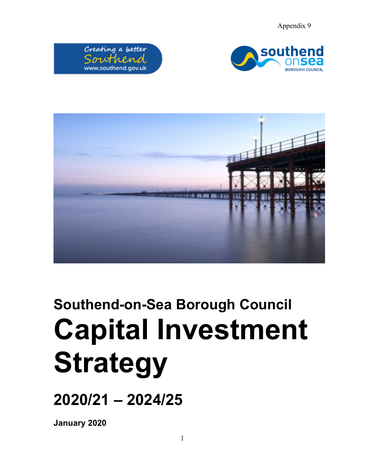Appendix 9







# **Southend-on-Sea Borough Council Capital Investment Strategy**

**2020/21 – 2024/25**

**January 2020**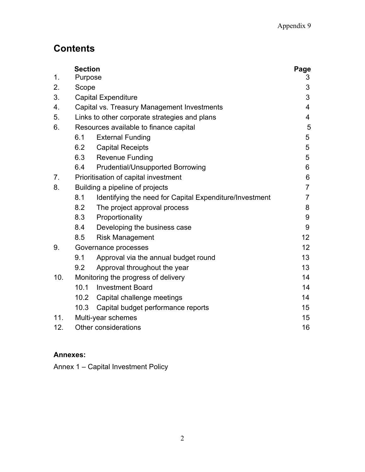# **Contents**

|     | <b>Section</b>                         |                                                         | Page            |
|-----|----------------------------------------|---------------------------------------------------------|-----------------|
| 1.  | Purpose                                |                                                         | 3               |
| 2.  |                                        | Scope                                                   |                 |
| 3.  |                                        | <b>Capital Expenditure</b>                              |                 |
| 4.  |                                        | Capital vs. Treasury Management Investments             |                 |
| 5.  |                                        | Links to other corporate strategies and plans           |                 |
| 6.  | Resources available to finance capital |                                                         | 5               |
|     | 6.1                                    | <b>External Funding</b>                                 | 5               |
|     | 6.2                                    | <b>Capital Receipts</b>                                 | 5               |
|     | 6.3                                    | <b>Revenue Funding</b>                                  | 5               |
|     | 6.4                                    | <b>Prudential/Unsupported Borrowing</b>                 | 6               |
| 7.  |                                        | Prioritisation of capital investment                    | 6               |
| 8.  | Building a pipeline of projects        |                                                         | $\overline{7}$  |
|     | 8.1                                    | Identifying the need for Capital Expenditure/Investment | 7               |
|     | 8.2                                    | The project approval process                            | 8               |
|     | 8.3                                    | Proportionality                                         | 9               |
|     | 8.4                                    | Developing the business case                            | 9               |
|     | 8.5                                    | <b>Risk Management</b>                                  | 12              |
| 9.  | Governance processes                   |                                                         | 12 <sup>2</sup> |
|     | 9.1                                    | Approval via the annual budget round                    | 13              |
|     | 9.2                                    | Approval throughout the year                            | 13              |
| 10. | Monitoring the progress of delivery    |                                                         | 14              |
|     | 10.1                                   | <b>Investment Board</b>                                 | 14              |
|     | 10.2                                   | Capital challenge meetings                              | 14              |
|     | 10.3                                   | Capital budget performance reports                      | 15              |
| 11. | Multi-year schemes                     |                                                         | 15              |
| 12. | <b>Other considerations</b>            |                                                         | 16              |

# **Annexes:**

Annex 1 – Capital Investment Policy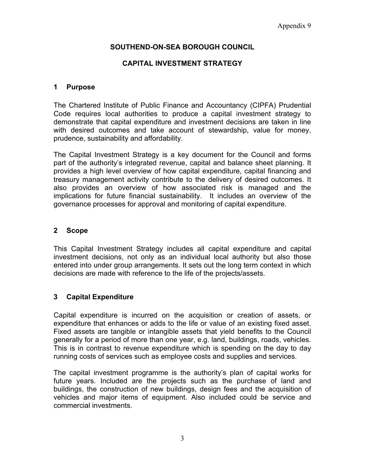# **SOUTHEND-ON-SEA BOROUGH COUNCIL**

# **CAPITAL INVESTMENT STRATEGY**

#### **1 Purpose**

The Chartered Institute of Public Finance and Accountancy (CIPFA) Prudential Code requires local authorities to produce a capital investment strategy to demonstrate that capital expenditure and investment decisions are taken in line with desired outcomes and take account of stewardship, value for money, prudence, sustainability and affordability.

The Capital Investment Strategy is a key document for the Council and forms part of the authority's integrated revenue, capital and balance sheet planning. It provides a high level overview of how capital expenditure, capital financing and treasury management activity contribute to the delivery of desired outcomes. It also provides an overview of how associated risk is managed and the implications for future financial sustainability. It includes an overview of the governance processes for approval and monitoring of capital expenditure.

#### **2 Scope**

This Capital Investment Strategy includes all capital expenditure and capital investment decisions, not only as an individual local authority but also those entered into under group arrangements. It sets out the long term context in which decisions are made with reference to the life of the projects/assets.

#### **3 Capital Expenditure**

Capital expenditure is incurred on the acquisition or creation of assets, or expenditure that enhances or adds to the life or value of an existing fixed asset. Fixed assets are tangible or intangible assets that yield benefits to the Council generally for a period of more than one year, e.g. land, buildings, roads, vehicles. This is in contrast to revenue expenditure which is spending on the day to day running costs of services such as employee costs and supplies and services.

The capital investment programme is the authority's plan of capital works for future years. Included are the projects such as the purchase of land and buildings, the construction of new buildings, design fees and the acquisition of vehicles and major items of equipment. Also included could be service and commercial investments.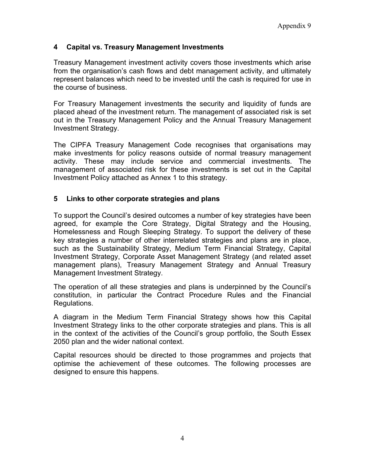# **4 Capital vs. Treasury Management Investments**

Treasury Management investment activity covers those investments which arise from the organisation's cash flows and debt management activity, and ultimately represent balances which need to be invested until the cash is required for use in the course of business.

For Treasury Management investments the security and liquidity of funds are placed ahead of the investment return. The management of associated risk is set out in the Treasury Management Policy and the Annual Treasury Management Investment Strategy.

The CIPFA Treasury Management Code recognises that organisations may make investments for policy reasons outside of normal treasury management activity. These may include service and commercial investments. The management of associated risk for these investments is set out in the Capital Investment Policy attached as Annex 1 to this strategy.

# **5 Links to other corporate strategies and plans**

To support the Council's desired outcomes a number of key strategies have been agreed, for example the Core Strategy, Digital Strategy and the Housing, Homelessness and Rough Sleeping Strategy. To support the delivery of these key strategies a number of other interrelated strategies and plans are in place, such as the Sustainability Strategy, Medium Term Financial Strategy, Capital Investment Strategy, Corporate Asset Management Strategy (and related asset management plans), Treasury Management Strategy and Annual Treasury Management Investment Strategy.

The operation of all these strategies and plans is underpinned by the Council's constitution, in particular the Contract Procedure Rules and the Financial Regulations.

A diagram in the Medium Term Financial Strategy shows how this Capital Investment Strategy links to the other corporate strategies and plans. This is all in the context of the activities of the Council's group portfolio, the South Essex 2050 plan and the wider national context.

Capital resources should be directed to those programmes and projects that optimise the achievement of these outcomes. The following processes are designed to ensure this happens.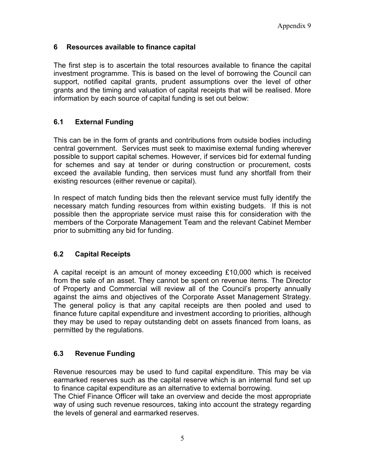# **6 Resources available to finance capital**

The first step is to ascertain the total resources available to finance the capital investment programme. This is based on the level of borrowing the Council can support, notified capital grants, prudent assumptions over the level of other grants and the timing and valuation of capital receipts that will be realised. More information by each source of capital funding is set out below:

# **6.1 External Funding**

This can be in the form of grants and contributions from outside bodies including central government. Services must seek to maximise external funding wherever possible to support capital schemes. However, if services bid for external funding for schemes and say at tender or during construction or procurement, costs exceed the available funding, then services must fund any shortfall from their existing resources (either revenue or capital).

In respect of match funding bids then the relevant service must fully identify the necessary match funding resources from within existing budgets. If this is not possible then the appropriate service must raise this for consideration with the members of the Corporate Management Team and the relevant Cabinet Member prior to submitting any bid for funding.

# **6.2 Capital Receipts**

A capital receipt is an amount of money exceeding £10,000 which is received from the sale of an asset. They cannot be spent on revenue items. The Director of Property and Commercial will review all of the Council's property annually against the aims and objectives of the Corporate Asset Management Strategy. The general policy is that any capital receipts are then pooled and used to finance future capital expenditure and investment according to priorities, although they may be used to repay outstanding debt on assets financed from loans, as permitted by the regulations.

#### **6.3 Revenue Funding**

Revenue resources may be used to fund capital expenditure. This may be via earmarked reserves such as the capital reserve which is an internal fund set up to finance capital expenditure as an alternative to external borrowing.

The Chief Finance Officer will take an overview and decide the most appropriate way of using such revenue resources, taking into account the strategy regarding the levels of general and earmarked reserves.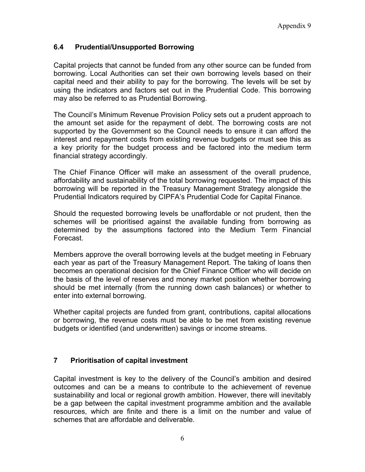# **6.4 Prudential/Unsupported Borrowing**

Capital projects that cannot be funded from any other source can be funded from borrowing. Local Authorities can set their own borrowing levels based on their capital need and their ability to pay for the borrowing. The levels will be set by using the indicators and factors set out in the Prudential Code. This borrowing may also be referred to as Prudential Borrowing.

The Council's Minimum Revenue Provision Policy sets out a prudent approach to the amount set aside for the repayment of debt. The borrowing costs are not supported by the Government so the Council needs to ensure it can afford the interest and repayment costs from existing revenue budgets or must see this as a key priority for the budget process and be factored into the medium term financial strategy accordingly.

The Chief Finance Officer will make an assessment of the overall prudence, affordability and sustainability of the total borrowing requested. The impact of this borrowing will be reported in the Treasury Management Strategy alongside the Prudential Indicators required by CIPFA's Prudential Code for Capital Finance.

Should the requested borrowing levels be unaffordable or not prudent, then the schemes will be prioritised against the available funding from borrowing as determined by the assumptions factored into the Medium Term Financial Forecast.

Members approve the overall borrowing levels at the budget meeting in February each year as part of the Treasury Management Report. The taking of loans then becomes an operational decision for the Chief Finance Officer who will decide on the basis of the level of reserves and money market position whether borrowing should be met internally (from the running down cash balances) or whether to enter into external borrowing.

Whether capital projects are funded from grant, contributions, capital allocations or borrowing, the revenue costs must be able to be met from existing revenue budgets or identified (and underwritten) savings or income streams.

# **7 Prioritisation of capital investment**

Capital investment is key to the delivery of the Council's ambition and desired outcomes and can be a means to contribute to the achievement of revenue sustainability and local or regional growth ambition. However, there will inevitably be a gap between the capital investment programme ambition and the available resources, which are finite and there is a limit on the number and value of schemes that are affordable and deliverable.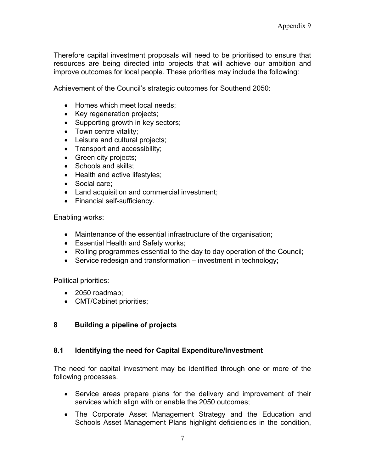Therefore capital investment proposals will need to be prioritised to ensure that resources are being directed into projects that will achieve our ambition and improve outcomes for local people. These priorities may include the following:

Achievement of the Council's strategic outcomes for Southend 2050:

- Homes which meet local needs;
- Key regeneration projects;
- Supporting growth in key sectors;
- Town centre vitality;
- Leisure and cultural projects;
- Transport and accessibility;
- Green city projects;
- Schools and skills:
- Health and active lifestyles;
- Social care;
- Land acquisition and commercial investment;
- Financial self-sufficiency.

Enabling works:

- Maintenance of the essential infrastructure of the organisation;
- Essential Health and Safety works;
- Rolling programmes essential to the day to day operation of the Council;
- Service redesign and transformation investment in technology;

Political priorities:

- 2050 roadmap;
- CMT/Cabinet priorities;

# **8 Building a pipeline of projects**

#### **8.1 Identifying the need for Capital Expenditure/Investment**

The need for capital investment may be identified through one or more of the following processes.

- Service areas prepare plans for the delivery and improvement of their services which align with or enable the 2050 outcomes;
- The Corporate Asset Management Strategy and the Education and Schools Asset Management Plans highlight deficiencies in the condition,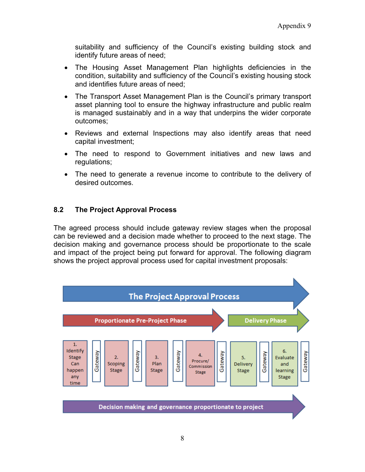suitability and sufficiency of the Council's existing building stock and identify future areas of need;

- The Housing Asset Management Plan highlights deficiencies in the condition, suitability and sufficiency of the Council's existing housing stock and identifies future areas of need;
- The Transport Asset Management Plan is the Council's primary transport asset planning tool to ensure the highway infrastructure and public realm is managed sustainably and in a way that underpins the wider corporate outcomes;
- Reviews and external Inspections may also identify areas that need capital investment;
- The need to respond to Government initiatives and new laws and regulations;
- The need to generate a revenue income to contribute to the delivery of desired outcomes.

# **8.2 The Project Approval Process**

The agreed process should include gateway review stages when the proposal can be reviewed and a decision made whether to proceed to the next stage. The decision making and governance process should be proportionate to the scale and impact of the project being put forward for approval. The following diagram shows the project approval process used for capital investment proposals:

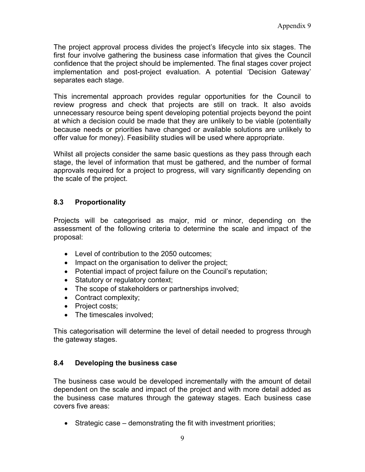The project approval process divides the project's lifecycle into six stages. The first four involve gathering the business case information that gives the Council confidence that the project should be implemented. The final stages cover project implementation and post-project evaluation. A potential 'Decision Gateway' separates each stage.

This incremental approach provides regular opportunities for the Council to review progress and check that projects are still on track. It also avoids unnecessary resource being spent developing potential projects beyond the point at which a decision could be made that they are unlikely to be viable (potentially because needs or priorities have changed or available solutions are unlikely to offer value for money). Feasibility studies will be used where appropriate.

Whilst all projects consider the same basic questions as they pass through each stage, the level of information that must be gathered, and the number of formal approvals required for a project to progress, will vary significantly depending on the scale of the project.

# **8.3 Proportionality**

Projects will be categorised as major, mid or minor, depending on the assessment of the following criteria to determine the scale and impact of the proposal:

- Level of contribution to the 2050 outcomes;
- Impact on the organisation to deliver the project;
- Potential impact of project failure on the Council's reputation;
- Statutory or regulatory context;
- The scope of stakeholders or partnerships involved;
- Contract complexity;
- Project costs;
- The timescales involved;

This categorisation will determine the level of detail needed to progress through the gateway stages.

#### **8.4 Developing the business case**

The business case would be developed incrementally with the amount of detail dependent on the scale and impact of the project and with more detail added as the business case matures through the gateway stages. Each business case covers five areas:

 $\bullet$  Strategic case – demonstrating the fit with investment priorities;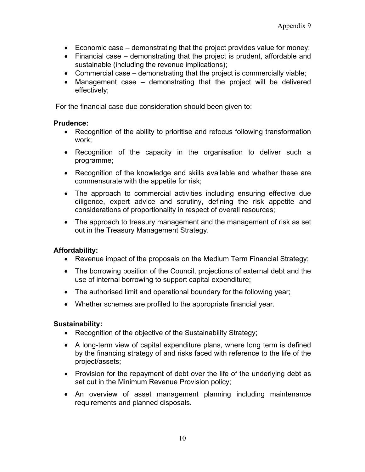- Economic case demonstrating that the project provides value for money;
- Financial case demonstrating that the project is prudent, affordable and sustainable (including the revenue implications);
- Commercial case demonstrating that the project is commercially viable;
- Management case demonstrating that the project will be delivered effectively;

For the financial case due consideration should been given to:

#### **Prudence:**

- Recognition of the ability to prioritise and refocus following transformation work;
- Recognition of the capacity in the organisation to deliver such a programme;
- Recognition of the knowledge and skills available and whether these are commensurate with the appetite for risk;
- The approach to commercial activities including ensuring effective due diligence, expert advice and scrutiny, defining the risk appetite and considerations of proportionality in respect of overall resources;
- The approach to treasury management and the management of risk as set out in the Treasury Management Strategy.

#### **Affordability:**

- Revenue impact of the proposals on the Medium Term Financial Strategy;
- The borrowing position of the Council, projections of external debt and the use of internal borrowing to support capital expenditure;
- The authorised limit and operational boundary for the following year;
- Whether schemes are profiled to the appropriate financial year.

#### **Sustainability:**

- Recognition of the objective of the Sustainability Strategy;
- A long-term view of capital expenditure plans, where long term is defined by the financing strategy of and risks faced with reference to the life of the project/assets;
- Provision for the repayment of debt over the life of the underlying debt as set out in the Minimum Revenue Provision policy;
- An overview of asset management planning including maintenance requirements and planned disposals.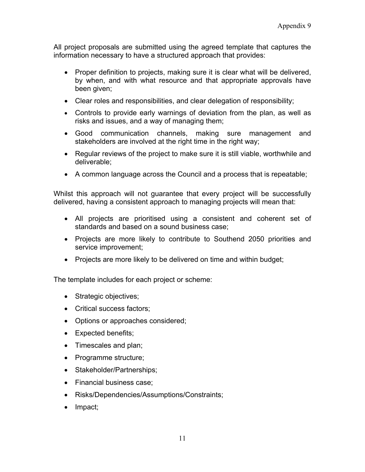All project proposals are submitted using the agreed template that captures the information necessary to have a structured approach that provides:

- Proper definition to projects, making sure it is clear what will be delivered, by when, and with what resource and that appropriate approvals have been given;
- Clear roles and responsibilities, and clear delegation of responsibility;
- Controls to provide early warnings of deviation from the plan, as well as risks and issues, and a way of managing them;
- Good communication channels, making sure management and stakeholders are involved at the right time in the right way;
- Regular reviews of the project to make sure it is still viable, worthwhile and deliverable;
- A common language across the Council and a process that is repeatable;

Whilst this approach will not guarantee that every project will be successfully delivered, having a consistent approach to managing projects will mean that:

- All projects are prioritised using a consistent and coherent set of standards and based on a sound business case;
- Projects are more likely to contribute to Southend 2050 priorities and service improvement;
- Projects are more likely to be delivered on time and within budget;

The template includes for each project or scheme:

- Strategic objectives;
- Critical success factors:
- Options or approaches considered;
- Expected benefits;
- Timescales and plan;
- Programme structure;
- Stakeholder/Partnerships;
- Financial business case;
- Risks/Dependencies/Assumptions/Constraints;
- Impact;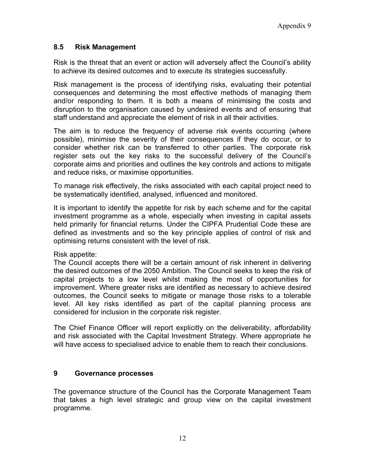# **8.5 Risk Management**

Risk is the threat that an event or action will adversely affect the Council's ability to achieve its desired outcomes and to execute its strategies successfully.

Risk management is the process of identifying risks, evaluating their potential consequences and determining the most effective methods of managing them and/or responding to them. It is both a means of minimising the costs and disruption to the organisation caused by undesired events and of ensuring that staff understand and appreciate the element of risk in all their activities.

The aim is to reduce the frequency of adverse risk events occurring (where possible), minimise the severity of their consequences if they do occur, or to consider whether risk can be transferred to other parties. The corporate risk register sets out the key risks to the successful delivery of the Council's corporate aims and priorities and outlines the key controls and actions to mitigate and reduce risks, or maximise opportunities.

To manage risk effectively, the risks associated with each capital project need to be systematically identified, analysed, influenced and monitored.

It is important to identify the appetite for risk by each scheme and for the capital investment programme as a whole, especially when investing in capital assets held primarily for financial returns. Under the CIPFA Prudential Code these are defined as investments and so the key principle applies of control of risk and optimising returns consistent with the level of risk.

Risk appetite:

The Council accepts there will be a certain amount of risk inherent in delivering the desired outcomes of the 2050 Ambition. The Council seeks to keep the risk of capital projects to a low level whilst making the most of opportunities for improvement. Where greater risks are identified as necessary to achieve desired outcomes, the Council seeks to mitigate or manage those risks to a tolerable level. All key risks identified as part of the capital planning process are considered for inclusion in the corporate risk register.

The Chief Finance Officer will report explicitly on the deliverability, affordability and risk associated with the Capital Investment Strategy. Where appropriate he will have access to specialised advice to enable them to reach their conclusions.

# **9 Governance processes**

The governance structure of the Council has the Corporate Management Team that takes a high level strategic and group view on the capital investment programme.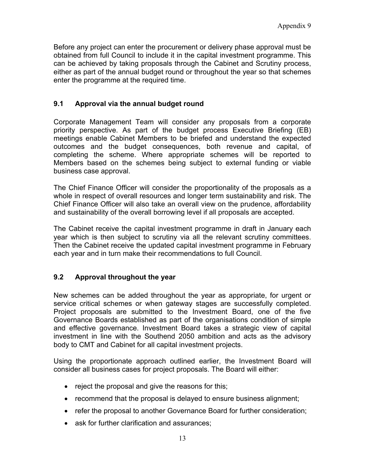Before any project can enter the procurement or delivery phase approval must be obtained from full Council to include it in the capital investment programme. This can be achieved by taking proposals through the Cabinet and Scrutiny process, either as part of the annual budget round or throughout the year so that schemes enter the programme at the required time.

# **9.1 Approval via the annual budget round**

Corporate Management Team will consider any proposals from a corporate priority perspective. As part of the budget process Executive Briefing (EB) meetings enable Cabinet Members to be briefed and understand the expected outcomes and the budget consequences, both revenue and capital, of completing the scheme. Where appropriate schemes will be reported to Members based on the schemes being subject to external funding or viable business case approval.

The Chief Finance Officer will consider the proportionality of the proposals as a whole in respect of overall resources and longer term sustainability and risk. The Chief Finance Officer will also take an overall view on the prudence, affordability and sustainability of the overall borrowing level if all proposals are accepted.

The Cabinet receive the capital investment programme in draft in January each year which is then subject to scrutiny via all the relevant scrutiny committees. Then the Cabinet receive the updated capital investment programme in February each year and in turn make their recommendations to full Council.

# **9.2 Approval throughout the year**

New schemes can be added throughout the year as appropriate, for urgent or service critical schemes or when gateway stages are successfully completed. Project proposals are submitted to the Investment Board, one of the five Governance Boards established as part of the organisations condition of simple and effective governance. Investment Board takes a strategic view of capital investment in line with the Southend 2050 ambition and acts as the advisory body to CMT and Cabinet for all capital investment projects.

Using the proportionate approach outlined earlier, the Investment Board will consider all business cases for project proposals. The Board will either:

- reject the proposal and give the reasons for this;
- recommend that the proposal is delayed to ensure business alignment;
- refer the proposal to another Governance Board for further consideration;
- ask for further clarification and assurances: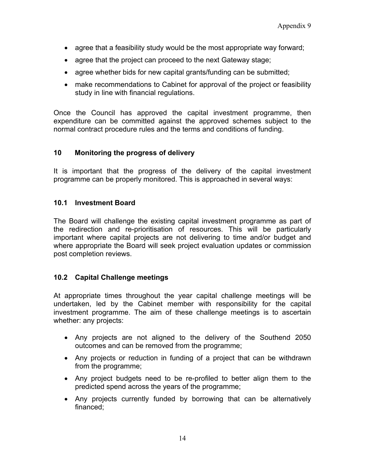- agree that a feasibility study would be the most appropriate way forward;
- agree that the project can proceed to the next Gateway stage;
- agree whether bids for new capital grants/funding can be submitted;
- make recommendations to Cabinet for approval of the project or feasibility study in line with financial regulations.

Once the Council has approved the capital investment programme, then expenditure can be committed against the approved schemes subject to the normal contract procedure rules and the terms and conditions of funding.

# **10 Monitoring the progress of delivery**

It is important that the progress of the delivery of the capital investment programme can be properly monitored. This is approached in several ways:

# **10.1 Investment Board**

The Board will challenge the existing capital investment programme as part of the redirection and re-prioritisation of resources. This will be particularly important where capital projects are not delivering to time and/or budget and where appropriate the Board will seek project evaluation updates or commission post completion reviews.

# **10.2 Capital Challenge meetings**

At appropriate times throughout the year capital challenge meetings will be undertaken, led by the Cabinet member with responsibility for the capital investment programme. The aim of these challenge meetings is to ascertain whether: any projects:

- Any projects are not aligned to the delivery of the Southend 2050 outcomes and can be removed from the programme;
- Any projects or reduction in funding of a project that can be withdrawn from the programme;
- Any project budgets need to be re-profiled to better align them to the predicted spend across the years of the programme;
- Any projects currently funded by borrowing that can be alternatively financed;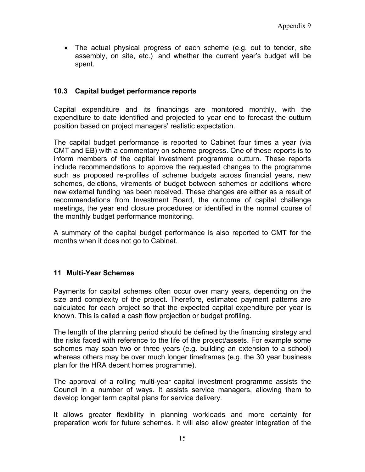The actual physical progress of each scheme (e.g. out to tender, site assembly, on site, etc.) and whether the current year's budget will be spent.

# **10.3 Capital budget performance reports**

Capital expenditure and its financings are monitored monthly, with the expenditure to date identified and projected to year end to forecast the outturn position based on project managers' realistic expectation.

The capital budget performance is reported to Cabinet four times a year (via CMT and EB) with a commentary on scheme progress. One of these reports is to inform members of the capital investment programme outturn. These reports include recommendations to approve the requested changes to the programme such as proposed re-profiles of scheme budgets across financial years, new schemes, deletions, virements of budget between schemes or additions where new external funding has been received. These changes are either as a result of recommendations from Investment Board, the outcome of capital challenge meetings, the year end closure procedures or identified in the normal course of the monthly budget performance monitoring.

A summary of the capital budget performance is also reported to CMT for the months when it does not go to Cabinet.

#### **11 Multi-Year Schemes**

Payments for capital schemes often occur over many years, depending on the size and complexity of the project. Therefore, estimated payment patterns are calculated for each project so that the expected capital expenditure per year is known. This is called a cash flow projection or budget profiling.

The length of the planning period should be defined by the financing strategy and the risks faced with reference to the life of the project/assets. For example some schemes may span two or three years (e.g. building an extension to a school) whereas others may be over much longer timeframes (e.g. the 30 year business plan for the HRA decent homes programme).

The approval of a rolling multi-year capital investment programme assists the Council in a number of ways. It assists service managers, allowing them to develop longer term capital plans for service delivery.

It allows greater flexibility in planning workloads and more certainty for preparation work for future schemes. It will also allow greater integration of the